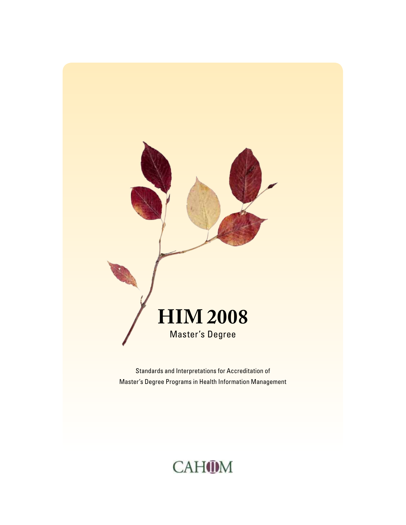

Standards and Interpretations for Accreditation of Master's Degree Programs in Health Information Management

# CAHOM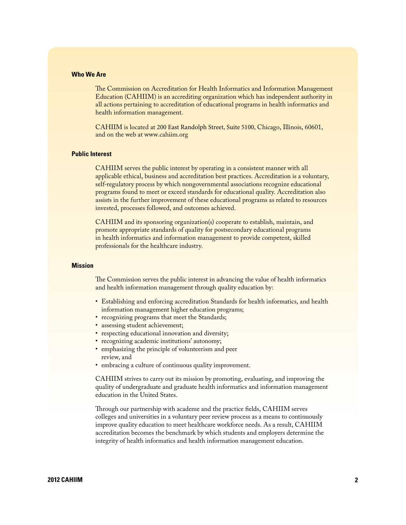# **Who We Are**

The Commission on Accreditation for Health Informatics and Information Management Education (CAHIIM) is an accrediting organization which has independent authority in all actions pertaining to accreditation of educational programs in health informatics and health information management.

CAHIIM is located at 200 East Randolph Street, Suite 5100, Chicago, Illinois, 60601, and on the web at [www.cahiim.org](http://www.cahiim.org) 

#### **Public Interest**

CAHIIM serves the public interest by operating in a consistent manner with all applicable ethical, business and accreditation best practices. Accreditation is a voluntary, self-regulatory process by which nongovernmental associations recognize educational programs found to meet or exceed standards for educational quality. Accreditation also assists in the further improvement of these educational programs as related to resources invested, processes followed, and outcomes achieved.

CAHIIM and its sponsoring organization(s) cooperate to establish, maintain, and promote appropriate standards of quality for postsecondary educational programs in health informatics and information management to provide competent, skilled professionals for the healthcare industry.

## **Mission**

The Commission serves the public interest in advancing the value of health informatics and health information management through quality education by:

- Establishing and enforcing accreditation Standards for health informatics, and health information management higher education programs;
- recognizing programs that meet the Standards;
- assessing student achievement;
- respecting educational innovation and diversity;
- recognizing academic institutions' autonomy;
- emphasizing the principle of volunteerism and peer review, and
- embracing a culture of continuous quality improvement.

CAHIIM strives to carry out its mission by promoting, evaluating, and improving the quality of undergraduate and graduate health informatics and information management education in the United States.

Through our partnership with academe and the practice fields, CAHIIM serves colleges and universities in a voluntary peer review process as a means to continuously improve quality education to meet healthcare workforce needs. As a result, CAHIIM accreditation becomes the benchmark by which students and employers determine the integrity of health informatics and health information management education.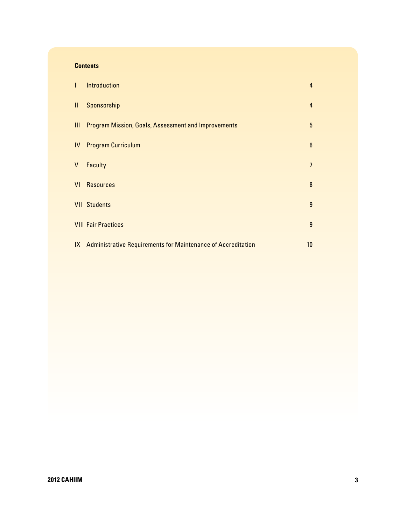# <span id="page-2-0"></span>**Contents**

| $\overline{1}$ | <b>Introduction</b>                                             | $\overline{4}$ |
|----------------|-----------------------------------------------------------------|----------------|
| Ш.             | Sponsorship                                                     | $\overline{4}$ |
| $\mathbf{III}$ | <b>Program Mission, Goals, Assessment and Improvements</b>      | 5              |
|                | <b>IV</b> Program Curriculum                                    | $6\phantom{1}$ |
| V              | Faculty                                                         | $\overline{7}$ |
| VI             | <b>Resources</b>                                                | 8              |
|                | <b>VII Students</b>                                             | 9              |
|                | <b>VIII Fair Practices</b>                                      | 9              |
|                | IX Administrative Requirements for Maintenance of Accreditation | 10             |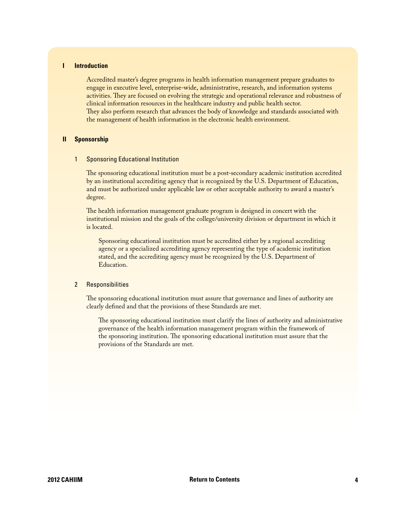# <span id="page-3-0"></span>**I Introduction**

Accredited master's degree programs in health information management prepare graduates to engage in executive level, enterprise-wide, administrative, research, and information systems activities. They are focused on evolving the strategic and operational relevance and robustness of clinical information resources in the healthcare industry and public health sector. They also perform research that advances the body of knowledge and standards associated with the management of health information in the electronic health environment.

#### **II Sponsorship**

#### 1 Sponsoring Educational Institution

The sponsoring educational institution must be a post-secondary academic institution accredited by an institutional accrediting agency that is recognized by the U.S. Department of Education, and must be authorized under applicable law or other acceptable authority to award a master's degree.

The health information management graduate program is designed in concert with the institutional mission and the goals of the college/university division or department in which it is located.

Sponsoring educational institution must be accredited either by a regional accrediting agency or a specialized accrediting agency representing the type of academic institution stated, and the accrediting agency must be recognized by the U.S. Department of Education.

# 2 Responsibilities

The sponsoring educational institution must assure that governance and lines of authority are clearly defined and that the provisions of these Standards are met.

The sponsoring educational institution must clarify the lines of authority and administrative governance of the health information management program within the framework of the sponsoring institution. The sponsoring educational institution must assure that the provisions of the Standards are met.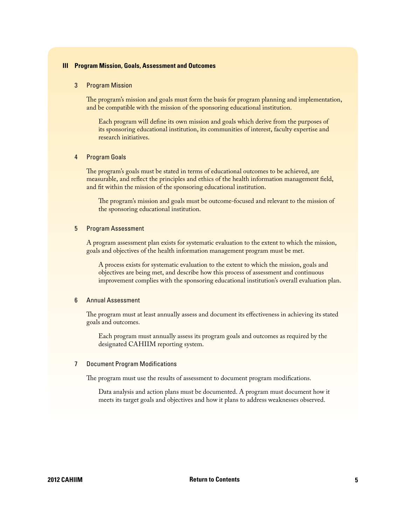# <span id="page-4-0"></span>**III Program Mission, Goals, Assessment and Outcomes**

#### 3 Program Mission

The program's mission and goals must form the basis for program planning and implementation, and be compatible with the mission of the sponsoring educational institution.

Each program will define its own mission and goals which derive from the purposes of its sponsoring educational institution, its communities of interest, faculty expertise and research initiatives.

#### 4 Program Goals

The program's goals must be stated in terms of educational outcomes to be achieved, are measurable, and reflect the principles and ethics of the health information management field, and fit within the mission of the sponsoring educational institution.

The program's mission and goals must be outcome-focused and relevant to the mission of the sponsoring educational institution.

#### 5 Program Assessment

A program assessment plan exists for systematic evaluation to the extent to which the mission, goals and objectives of the health information management program must be met.

A process exists for systematic evaluation to the extent to which the mission, goals and objectives are being met, and describe how this process of assessment and continuous improvement complies with the sponsoring educational institution's overall evaluation plan.

# 6 Annual Assessment

The program must at least annually assess and document its effectiveness in achieving its stated goals and outcomes.

Each program must annually assess its program goals and outcomes as required by the designated CAHIIM reporting system.

## 7 Document Program Modifications

The program must use the results of assessment to document program modifications.

Data analysis and action plans must be documented. A program must document how it meets its target goals and objectives and how it plans to address weaknesses observed.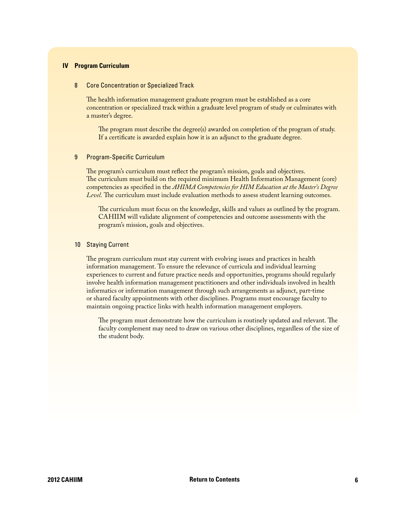# <span id="page-5-0"></span>**IV Program Curriculum**

#### 8 Core Concentration or Specialized Track

The health information management graduate program must be established as a core concentration or specialized track within a graduate level program of study or culminates with a master's degree.

The program must describe the degree(s) awarded on completion of the program of study. If a certificate is awarded explain how it is an adjunct to the graduate degree.

#### 9 Program-Specific Curriculum

The program's curriculum must reflect the program's mission, goals and objectives. The curriculum must build on the required minimum Health Information Management (core) competencies as specified in the *AHIMA Competencies for HIM Education at the Master's Degree Level*. The curriculum must include evaluation methods to assess student learning outcomes.

The curriculum must focus on the knowledge, skills and values as outlined by the program. CAHIIM will validate alignment of competencies and outcome assessments with the program's mission, goals and objectives.

# 10 Staying Current

The program curriculum must stay current with evolving issues and practices in health information management. To ensure the relevance of curricula and individual learning experiences to current and future practice needs and opportunities, programs should regularly involve health information management practitioners and other individuals involved in health informatics or information management through such arrangements as adjunct, part-time or shared faculty appointments with other disciplines. Programs must encourage faculty to maintain ongoing practice links with health information management employers.

The program must demonstrate how the curriculum is routinely updated and relevant. The faculty complement may need to draw on various other disciplines, regardless of the size of the student body.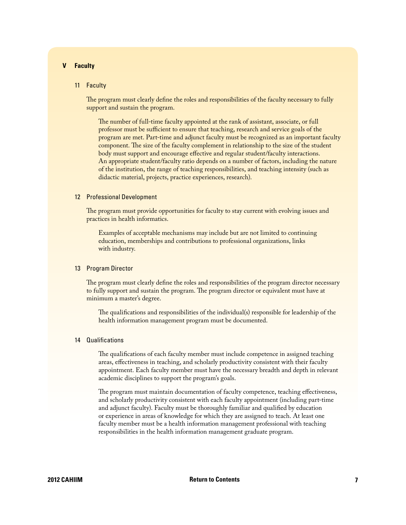# <span id="page-6-0"></span>**V Faculty**

#### 11 Faculty

The program must clearly define the roles and responsibilities of the faculty necessary to fully support and sustain the program.

The number of full-time faculty appointed at the rank of assistant, associate, or full professor must be sufficient to ensure that teaching, research and service goals of the program are met. Part-time and adjunct faculty must be recognized as an important faculty component. The size of the faculty complement in relationship to the size of the student body must support and encourage effective and regular student/faculty interactions. An appropriate student/faculty ratio depends on a number of factors, including the nature of the institution, the range of teaching responsibilities, and teaching intensity (such as didactic material, projects, practice experiences, research).

#### 12 Professional Development

The program must provide opportunities for faculty to stay current with evolving issues and practices in health informatics.

Examples of acceptable mechanisms may include but are not limited to continuing education, memberships and contributions to professional organizations, links with industry.

#### 13 Program Director

The program must clearly define the roles and responsibilities of the program director necessary to fully support and sustain the program. The program director or equivalent must have at minimum a master's degree.

The qualifications and responsibilities of the individual(s) responsible for leadership of the health information management program must be documented.

# 14 Qualifications

The qualifications of each faculty member must include competence in assigned teaching areas, effectiveness in teaching, and scholarly productivity consistent with their faculty appointment. Each faculty member must have the necessary breadth and depth in relevant academic disciplines to support the program's goals.

The program must maintain documentation of faculty competence, teaching effectiveness, and scholarly productivity consistent with each faculty appointment (including part-time and adjunct faculty). Faculty must be thoroughly familiar and qualified by education or experience in areas of knowledge for which they are assigned to teach. At least one faculty member must be a health information management professional with teaching responsibilities in the health information management graduate program.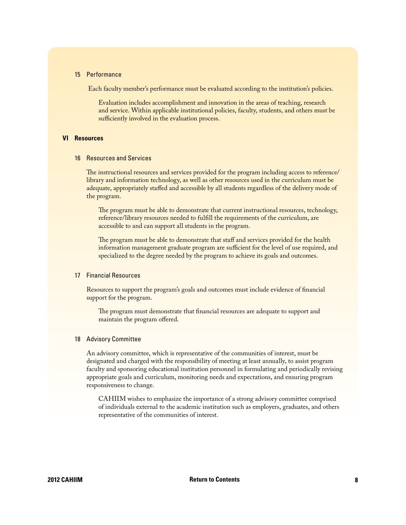#### <span id="page-7-0"></span>15 Performance

Each faculty member's performance must be evaluated according to the institution's policies.

Evaluation includes accomplishment and innovation in the areas of teaching, research and service. Within applicable institutional policies, faculty, students, and others must be sufficiently involved in the evaluation process.

# **VI Resources**

#### 16 Resources and Services

The instructional resources and services provided for the program including access to reference/ library and information technology, as well as other resources used in the curriculum must be adequate, appropriately staffed and accessible by all students regardless of the delivery mode of the program.

The program must be able to demonstrate that current instructional resources, technology, reference/library resources needed to fulfill the requirements of the curriculum, are accessible to and can support all students in the program.

The program must be able to demonstrate that staff and services provided for the health information management graduate program are sufficient for the level of use required, and specialized to the degree needed by the program to achieve its goals and outcomes.

# 17 Financial Resources

Resources to support the program's goals and outcomes must include evidence of financial support for the program.

The program must demonstrate that financial resources are adequate to support and maintain the program offered.

#### 18 Advisory Committee

An advisory committee, which is representative of the communities of interest, must be designated and charged with the responsibility of meeting at least annually, to assist program faculty and sponsoring educational institution personnel in formulating and periodically revising appropriate goals and curriculum, monitoring needs and expectations, and ensuring program responsiveness to change.

CAHIIM wishes to emphasize the importance of a strong advisory committee comprised of individuals external to the academic institution such as employers, graduates, and others representative of the communities of interest.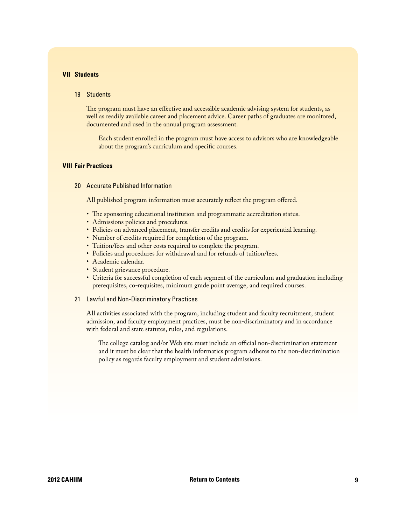## <span id="page-8-0"></span>**VII Students**

#### 19 Students

The program must have an effective and accessible academic advising system for students, as well as readily available career and placement advice. Career paths of graduates are monitored, documented and used in the annual program assessment.

Each student enrolled in the program must have access to advisors who are knowledgeable about the program's curriculum and specific courses.

#### **VIII Fair Practices**

20 Accurate Published Information

All published program information must accurately reflect the program offered.

- The sponsoring educational institution and programmatic accreditation status.
- Admissions policies and procedures.
- Policies on advanced placement, transfer credits and credits for experiential learning.
- Number of credits required for completion of the program.
- Tuition/fees and other costs required to complete the program.
- Policies and procedures for withdrawal and for refunds of tuition/fees.
- Academic calendar.
- Student grievance procedure.
- Criteria for successful completion of each segment of the curriculum and graduation including prerequisites, co-requisites, minimum grade point average, and required courses.

# 21 Lawful and Non-Discriminatory Practices

All activities associated with the program, including student and faculty recruitment, student admission, and faculty employment practices, must be non-discriminatory and in accordance with federal and state statutes, rules, and regulations.

The college catalog and/or Web site must include an official non-discrimination statement and it must be clear that the health informatics program adheres to the non-discrimination policy as regards faculty employment and student admissions.